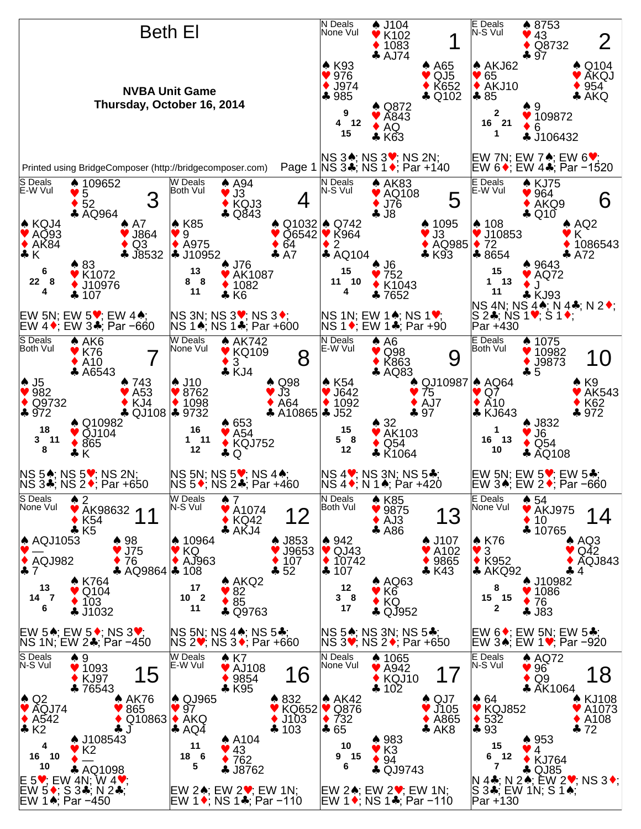